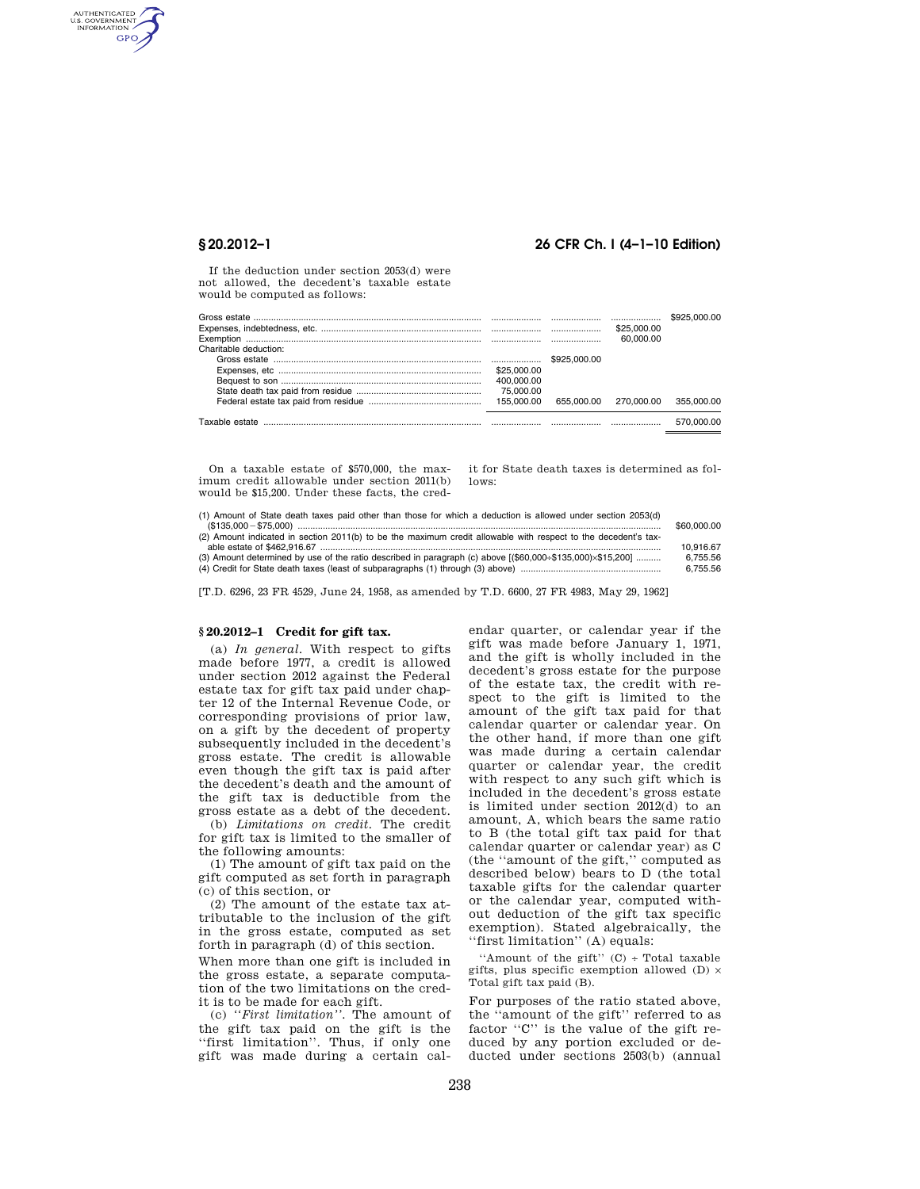AUTHENTICATED<br>U.S. GOVERNMENT<br>INFORMATION GPO

## **§ 20.2012–1 26 CFR Ch. I (4–1–10 Edition)**

If the deduction under section 2053(d) were not allowed, the decedent's taxable estate would be computed as follows:

|                       |             | \$25,000.00           |            |
|-----------------------|-------------|-----------------------|------------|
|                       |             | 60.000.00             |            |
| Charitable deduction: |             |                       |            |
|                       |             |                       |            |
|                       | \$25,000,00 |                       |            |
|                       | 400.000.00  |                       |            |
|                       |             |                       |            |
|                       |             | 655.000.00 270.000.00 | 355.000.00 |
| Taxable estate        |             |                       | 570.000.00 |

On a taxable estate of \$570,000, the maximum credit allowable under section 2011(b) would be \$15,200. Under these facts, the credit for State death taxes is determined as follows:

(1) Amount of State death taxes paid other than those for which a deduction is allowed under section 2053(d) (\$135,000¥\$75,000) ................................................................................................................................................. \$60,000.00 (2) Amount indicated in section 2011(b) to be the maximum credit allowable with respect to the decedent's tax-

| (z) Amount indicated in Section zon (b) to be the maximum credit allowable with respect to the decedent's tax- |           |
|----------------------------------------------------------------------------------------------------------------|-----------|
|                                                                                                                | 10.916.67 |
| (3) Amount determined by use of the ratio described in paragraph (c) above $[($60,000+$135,000)\times$15,200]$ | 6.755.56  |
|                                                                                                                | 6.755.56  |

[T.D. 6296, 23 FR 4529, June 24, 1958, as amended by T.D. 6600, 27 FR 4983, May 29, 1962]

# **§ 20.2012–1 Credit for gift tax.**

(a) *In general.* With respect to gifts made before 1977, a credit is allowed under section 2012 against the Federal estate tax for gift tax paid under chapter 12 of the Internal Revenue Code, or corresponding provisions of prior law, on a gift by the decedent of property subsequently included in the decedent's gross estate. The credit is allowable even though the gift tax is paid after the decedent's death and the amount of the gift tax is deductible from the gross estate as a debt of the decedent.

(b) *Limitations on credit.* The credit for gift tax is limited to the smaller of the following amounts:

(1) The amount of gift tax paid on the gift computed as set forth in paragraph (c) of this section, or

(2) The amount of the estate tax attributable to the inclusion of the gift in the gross estate, computed as set forth in paragraph (d) of this section.

When more than one gift is included in the gross estate, a separate computation of the two limitations on the credit is to be made for each gift.

(c) *''First limitation''.* The amount of the gift tax paid on the gift is the "first limitation". Thus, if only one gift was made during a certain cal-

endar quarter, or calendar year if the gift was made before January 1, 1971, and the gift is wholly included in the decedent's gross estate for the purpose of the estate tax, the credit with respect to the gift is limited to the amount of the gift tax paid for that calendar quarter or calendar year. On the other hand, if more than one gift was made during a certain calendar quarter or calendar year, the credit with respect to any such gift which is included in the decedent's gross estate is limited under section 2012(d) to an amount, A, which bears the same ratio to B (the total gift tax paid for that calendar quarter or calendar year) as C (the ''amount of the gift,'' computed as described below) bears to D (the total taxable gifts for the calendar quarter or the calendar year, computed without deduction of the gift tax specific exemption). Stated algebraically, the ''first limitation'' (A) equals:

''Amount of the gift'' (C) ÷ Total taxable gifts, plus specific exemption allowed (D)  $\times$ Total gift tax paid (B).

For purposes of the ratio stated above, the ''amount of the gift'' referred to as factor "C" is the value of the gift reduced by any portion excluded or deducted under sections 2503(b) (annual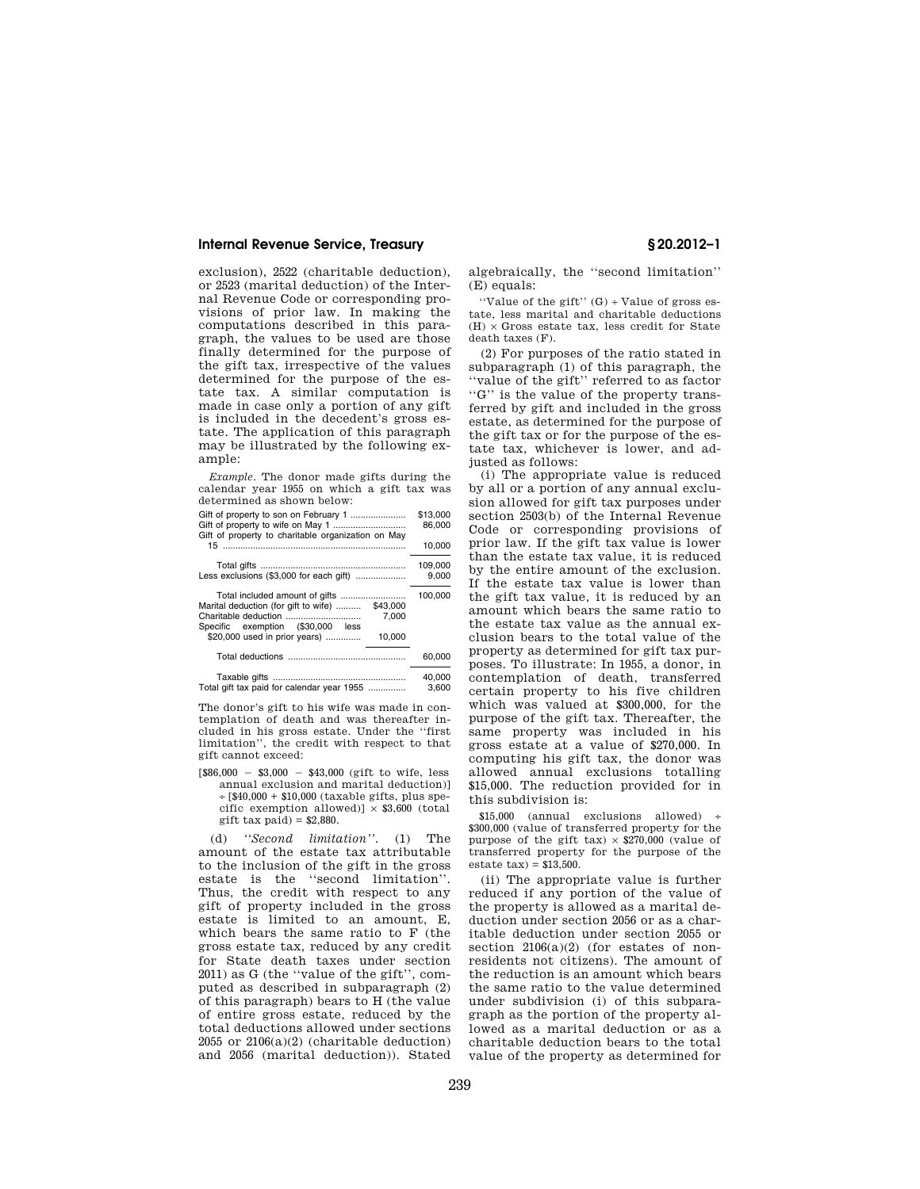### **Internal Revenue Service, Treasury § 20.2012–1**

exclusion), 2522 (charitable deduction), or 2523 (marital deduction) of the Internal Revenue Code or corresponding provisions of prior law. In making the computations described in this paragraph, the values to be used are those finally determined for the purpose of the gift tax, irrespective of the values determined for the purpose of the estate tax. A similar computation is made in case only a portion of any gift is included in the decedent's gross estate. The application of this paragraph may be illustrated by the following example:

*Example.* The donor made gifts during the calendar year 1955 on which a gift tax was determined as shown below:

|                                                                                                                                                                                                     | \$13,000<br>86.000 |
|-----------------------------------------------------------------------------------------------------------------------------------------------------------------------------------------------------|--------------------|
| Gift of property to charitable organization on May                                                                                                                                                  | 10.000             |
| Less exclusions (\$3,000 for each gift)                                                                                                                                                             | 109,000<br>9,000   |
| Total included amount of gifts<br>Marital deduction (for gift to wife)<br>\$43,000<br>Charitable deduction<br>7.000<br>Specific exemption (\$30,000 less<br>\$20,000 used in prior years)<br>10,000 | 100,000            |
|                                                                                                                                                                                                     | 60,000             |
|                                                                                                                                                                                                     | 40.000             |

Total gift tax paid for calendar year 1955 ............... 3,600

The donor's gift to his wife was made in contemplation of death and was thereafter included in his gross estate. Under the ''first limitation'', the credit with respect to that gift cannot exceed:

 $$86,000 - $3,000 - $43,000$  (gift to wife, less annual exclusion and marital deduction)] ÷ [\$40,000 + \$10,000 (taxable gifts, plus specific exemption allowed)]  $\times$  \$3,600 (total  $g$ ift tax paid) =  $$2,880$ .

(d) *''Second limitation''.* (1) The amount of the estate tax attributable to the inclusion of the gift in the gross estate is the ''second limitation''. Thus, the credit with respect to any gift of property included in the gross estate is limited to an amount, E, which bears the same ratio to F (the gross estate tax, reduced by any credit for State death taxes under section 2011) as G (the ''value of the gift'', computed as described in subparagraph (2) of this paragraph) bears to H (the value of entire gross estate, reduced by the total deductions allowed under sections 2055 or  $2106(a)(2)$  (charitable deduction) and 2056 (marital deduction)). Stated algebraically, the ''second limitation'' (E) equals:

"Value of the gift"  $(G)$  ÷ Value of gross estate, less marital and charitable deductions  $(H) \times$  Gross estate tax, less credit for State death taxes (F).

(2) For purposes of the ratio stated in subparagraph (1) of this paragraph, the ''value of the gift'' referred to as factor ''G'' is the value of the property transferred by gift and included in the gross estate, as determined for the purpose of the gift tax or for the purpose of the estate tax, whichever is lower, and adjusted as follows:

(i) The appropriate value is reduced by all or a portion of any annual exclusion allowed for gift tax purposes under section 2503(b) of the Internal Revenue Code or corresponding provisions of prior law. If the gift tax value is lower than the estate tax value, it is reduced by the entire amount of the exclusion. If the estate tax value is lower than the gift tax value, it is reduced by an amount which bears the same ratio to the estate tax value as the annual exclusion bears to the total value of the property as determined for gift tax purposes. To illustrate: In 1955, a donor, in contemplation of death, transferred certain property to his five children which was valued at \$300,000, for the purpose of the gift tax. Thereafter, the same property was included in his gross estate at a value of \$270,000. In computing his gift tax, the donor was allowed annual exclusions totalling \$15,000. The reduction provided for in this subdivision is:

\$15,000 (annual exclusions allowed) \$300,000 (value of transferred property for the purpose of the gift tax)  $\times$  \$270,000 (value of transferred property for the purpose of the estate  $\text{tax}$ ) = \$13,500.

(ii) The appropriate value is further reduced if any portion of the value of the property is allowed as a marital deduction under section 2056 or as a charitable deduction under section 2055 or section  $2106(a)(2)$  (for estates of nonresidents not citizens). The amount of the reduction is an amount which bears the same ratio to the value determined under subdivision (i) of this subparagraph as the portion of the property allowed as a marital deduction or as a charitable deduction bears to the total value of the property as determined for